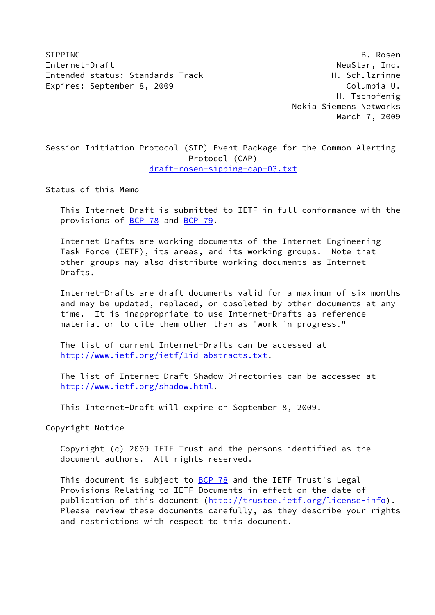SIPPING B. Rosen Internet-Draft NeuStar, Inc. Intended status: Standards Track H. Schulzrinne Expires: September 8, 2009 Columbia U.

 H. Tschofenig Nokia Siemens Networks March 7, 2009

Session Initiation Protocol (SIP) Event Package for the Common Alerting Protocol (CAP) [draft-rosen-sipping-cap-03.txt](https://datatracker.ietf.org/doc/pdf/draft-rosen-sipping-cap-03.txt)

Status of this Memo

 This Internet-Draft is submitted to IETF in full conformance with the provisions of [BCP 78](https://datatracker.ietf.org/doc/pdf/bcp78) and [BCP 79](https://datatracker.ietf.org/doc/pdf/bcp79).

 Internet-Drafts are working documents of the Internet Engineering Task Force (IETF), its areas, and its working groups. Note that other groups may also distribute working documents as Internet- Drafts.

 Internet-Drafts are draft documents valid for a maximum of six months and may be updated, replaced, or obsoleted by other documents at any time. It is inappropriate to use Internet-Drafts as reference material or to cite them other than as "work in progress."

 The list of current Internet-Drafts can be accessed at <http://www.ietf.org/ietf/1id-abstracts.txt>.

 The list of Internet-Draft Shadow Directories can be accessed at <http://www.ietf.org/shadow.html>.

This Internet-Draft will expire on September 8, 2009.

Copyright Notice

 Copyright (c) 2009 IETF Trust and the persons identified as the document authors. All rights reserved.

This document is subject to **[BCP 78](https://datatracker.ietf.org/doc/pdf/bcp78)** and the IETF Trust's Legal Provisions Relating to IETF Documents in effect on the date of publication of this document [\(http://trustee.ietf.org/license-info](http://trustee.ietf.org/license-info)). Please review these documents carefully, as they describe your rights and restrictions with respect to this document.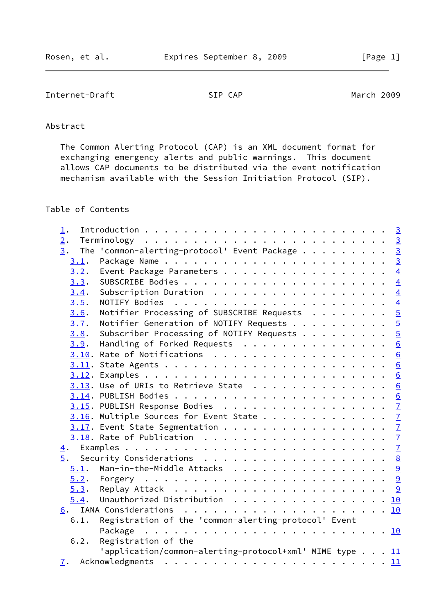# Internet-Draft SIP CAP SIP CAP March 2009

# Abstract

 The Common Alerting Protocol (CAP) is an XML document format for exchanging emergency alerts and public warnings. This document allows CAP documents to be distributed via the event notification mechanism available with the Session Initiation Protocol (SIP).

# Table of Contents

| $\perp$ .      |                                                                                                                                       |
|----------------|---------------------------------------------------------------------------------------------------------------------------------------|
| 2.             |                                                                                                                                       |
| 3.             | The 'common-alerting-protocol' Event Package 3                                                                                        |
| 3.1.           |                                                                                                                                       |
| 3.2.           | Event Package Parameters $\frac{4}{5}$                                                                                                |
| 3.3.           |                                                                                                                                       |
| 3.4.           | $\overline{4}$<br>Subscription Duration                                                                                               |
| 3.5.           |                                                                                                                                       |
| 3.6.           |                                                                                                                                       |
| 3.7.           |                                                                                                                                       |
| 3.8.           | Notifier Processing of SUBSCRIBE Requests 5<br>Notifier Generation of NOTIFY Requests 5<br>Subscriber Processing of NOTIFY Requests 5 |
| 3.9.           | Handling of Forked Requests 6                                                                                                         |
|                | $3.10$ . Rate of Notifications 6                                                                                                      |
|                |                                                                                                                                       |
|                |                                                                                                                                       |
|                | $3.13$ . Use of URIs to Retrieve State 6                                                                                              |
|                |                                                                                                                                       |
|                |                                                                                                                                       |
|                | $3.16$ . Multiple Sources for Event State $\frac{7}{2}$                                                                               |
|                | $3.17$ . Event State Segmentation $\frac{7}{2}$                                                                                       |
|                |                                                                                                                                       |
|                |                                                                                                                                       |
| 5.             |                                                                                                                                       |
| 5.1.           | Man-in-the-Middle Attacks 9                                                                                                           |
|                |                                                                                                                                       |
|                |                                                                                                                                       |
| 5.4.           | Unauthorized Distribution 10                                                                                                          |
|                |                                                                                                                                       |
| 6.1.           | Registration of the 'common-alerting-protocol' Event                                                                                  |
|                | Package                                                                                                                               |
| 6.2.           | Registration of the                                                                                                                   |
|                | 'application/common-alerting-protocol+xml' MIME type 11                                                                               |
| $\mathbf{I}$ . |                                                                                                                                       |
|                |                                                                                                                                       |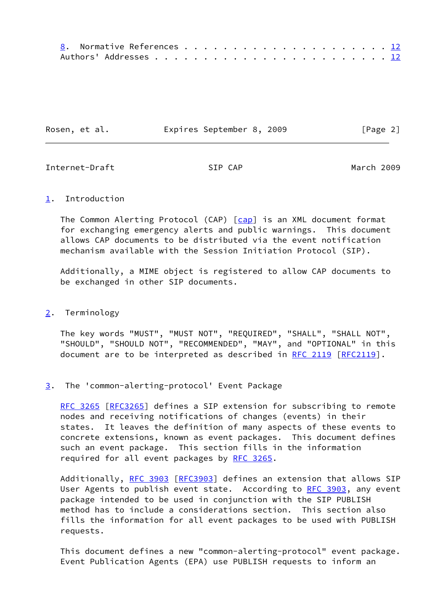| Rosen, et al. | Expires September 8, 2009 |  | [Page 2] |  |
|---------------|---------------------------|--|----------|--|
|               |                           |  |          |  |

<span id="page-2-1"></span>Internet-Draft SIP CAP March 2009

## <span id="page-2-0"></span>[1](#page-2-0). Introduction

The Common Alerting Protocol (CAP) [[cap\]](#page-12-3) is an XML document format for exchanging emergency alerts and public warnings. This document allows CAP documents to be distributed via the event notification mechanism available with the Session Initiation Protocol (SIP).

 Additionally, a MIME object is registered to allow CAP documents to be exchanged in other SIP documents.

## <span id="page-2-2"></span>[2](#page-2-2). Terminology

 The key words "MUST", "MUST NOT", "REQUIRED", "SHALL", "SHALL NOT", "SHOULD", "SHOULD NOT", "RECOMMENDED", "MAY", and "OPTIONAL" in this document are to be interpreted as described in [RFC 2119 \[RFC2119](https://datatracker.ietf.org/doc/pdf/rfc2119)].

<span id="page-2-3"></span>[3](#page-2-3). The 'common-alerting-protocol' Event Package

[RFC 3265](https://datatracker.ietf.org/doc/pdf/rfc3265) [\[RFC3265](https://datatracker.ietf.org/doc/pdf/rfc3265)] defines a SIP extension for subscribing to remote nodes and receiving notifications of changes (events) in their states. It leaves the definition of many aspects of these events to concrete extensions, known as event packages. This document defines such an event package. This section fills in the information required for all event packages by [RFC 3265.](https://datatracker.ietf.org/doc/pdf/rfc3265)

 Additionally, [RFC 3903](https://datatracker.ietf.org/doc/pdf/rfc3903) [\[RFC3903](https://datatracker.ietf.org/doc/pdf/rfc3903)] defines an extension that allows SIP User Agents to publish event state. According to [RFC 3903](https://datatracker.ietf.org/doc/pdf/rfc3903), any event package intended to be used in conjunction with the SIP PUBLISH method has to include a considerations section. This section also fills the information for all event packages to be used with PUBLISH requests.

 This document defines a new "common-alerting-protocol" event package. Event Publication Agents (EPA) use PUBLISH requests to inform an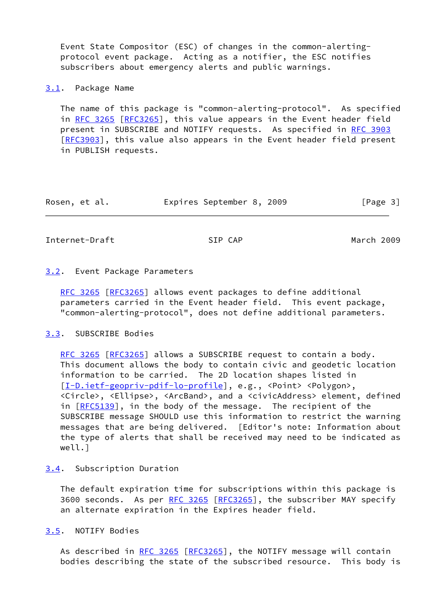Event State Compositor (ESC) of changes in the common-alerting protocol event package. Acting as a notifier, the ESC notifies subscribers about emergency alerts and public warnings.

### <span id="page-3-0"></span>[3.1](#page-3-0). Package Name

 The name of this package is "common-alerting-protocol". As specified in [RFC 3265 \[RFC3265](https://datatracker.ietf.org/doc/pdf/rfc3265)], this value appears in the Event header field present in SUBSCRIBE and NOTIFY requests. As specified in [RFC 3903](https://datatracker.ietf.org/doc/pdf/rfc3903) [\[RFC3903](https://datatracker.ietf.org/doc/pdf/rfc3903)], this value also appears in the Event header field present in PUBLISH requests.

| Rosen, et al. | Expires September 8, 2009 |  | [Page 3] |
|---------------|---------------------------|--|----------|
|---------------|---------------------------|--|----------|

<span id="page-3-2"></span>Internet-Draft SIP CAP March 2009

## <span id="page-3-1"></span>[3.2](#page-3-1). Event Package Parameters

[RFC 3265](https://datatracker.ietf.org/doc/pdf/rfc3265) [\[RFC3265](https://datatracker.ietf.org/doc/pdf/rfc3265)] allows event packages to define additional parameters carried in the Event header field. This event package, "common-alerting-protocol", does not define additional parameters.

## <span id="page-3-3"></span>[3.3](#page-3-3). SUBSCRIBE Bodies

[RFC 3265](https://datatracker.ietf.org/doc/pdf/rfc3265) [\[RFC3265](https://datatracker.ietf.org/doc/pdf/rfc3265)] allows a SUBSCRIBE request to contain a body. This document allows the body to contain civic and geodetic location information to be carried. The 2D location shapes listed in [\[I-D.ietf-geopriv-pdif-lo-profile](#page-12-4)], e.g., <Point> <Polygon>, <Circle>, <Ellipse>, <ArcBand>, and a <civicAddress> element, defined in  $[REC5139]$ , in the body of the message. The recipient of the SUBSCRIBE message SHOULD use this information to restrict the warning messages that are being delivered. [Editor's note: Information about the type of alerts that shall be received may need to be indicated as well.]

# <span id="page-3-4"></span>[3.4](#page-3-4). Subscription Duration

 The default expiration time for subscriptions within this package is 3600 seconds. As per [RFC 3265](https://datatracker.ietf.org/doc/pdf/rfc3265) [\[RFC3265](https://datatracker.ietf.org/doc/pdf/rfc3265)], the subscriber MAY specify an alternate expiration in the Expires header field.

<span id="page-3-5"></span>[3.5](#page-3-5). NOTIFY Bodies

As described in [RFC 3265](https://datatracker.ietf.org/doc/pdf/rfc3265) [\[RFC3265](https://datatracker.ietf.org/doc/pdf/rfc3265)], the NOTIFY message will contain bodies describing the state of the subscribed resource. This body is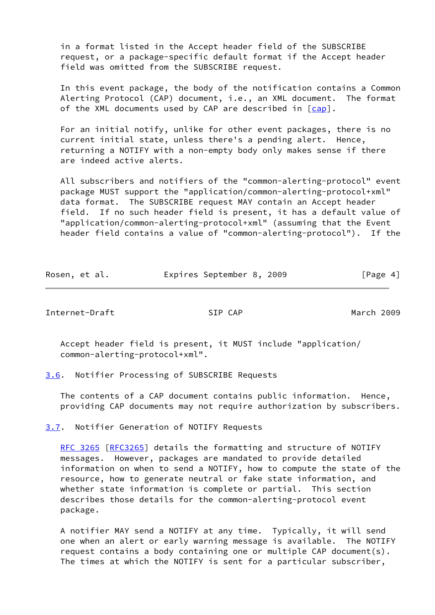in a format listed in the Accept header field of the SUBSCRIBE request, or a package-specific default format if the Accept header field was omitted from the SUBSCRIBE request.

 In this event package, the body of the notification contains a Common Alerting Protocol (CAP) document, i.e., an XML document. The format of the XML documents used by CAP are described in [[cap](#page-12-3)].

 For an initial notify, unlike for other event packages, there is no current initial state, unless there's a pending alert. Hence, returning a NOTIFY with a non-empty body only makes sense if there are indeed active alerts.

 All subscribers and notifiers of the "common-alerting-protocol" event package MUST support the "application/common-alerting-protocol+xml" data format. The SUBSCRIBE request MAY contain an Accept header field. If no such header field is present, it has a default value of "application/common-alerting-protocol+xml" (assuming that the Event header field contains a value of "common-alerting-protocol"). If the

| Rosen, et al. | Expires September 8, 2009 |  | [Page 4] |
|---------------|---------------------------|--|----------|
|---------------|---------------------------|--|----------|

<span id="page-4-1"></span>Internet-Draft SIP CAP March 2009

 Accept header field is present, it MUST include "application/ common-alerting-protocol+xml".

<span id="page-4-0"></span>[3.6](#page-4-0). Notifier Processing of SUBSCRIBE Requests

 The contents of a CAP document contains public information. Hence, providing CAP documents may not require authorization by subscribers.

<span id="page-4-2"></span>[3.7](#page-4-2). Notifier Generation of NOTIFY Requests

[RFC 3265](https://datatracker.ietf.org/doc/pdf/rfc3265) [\[RFC3265](https://datatracker.ietf.org/doc/pdf/rfc3265)] details the formatting and structure of NOTIFY messages. However, packages are mandated to provide detailed information on when to send a NOTIFY, how to compute the state of the resource, how to generate neutral or fake state information, and whether state information is complete or partial. This section describes those details for the common-alerting-protocol event package.

 A notifier MAY send a NOTIFY at any time. Typically, it will send one when an alert or early warning message is available. The NOTIFY request contains a body containing one or multiple CAP document(s). The times at which the NOTIFY is sent for a particular subscriber,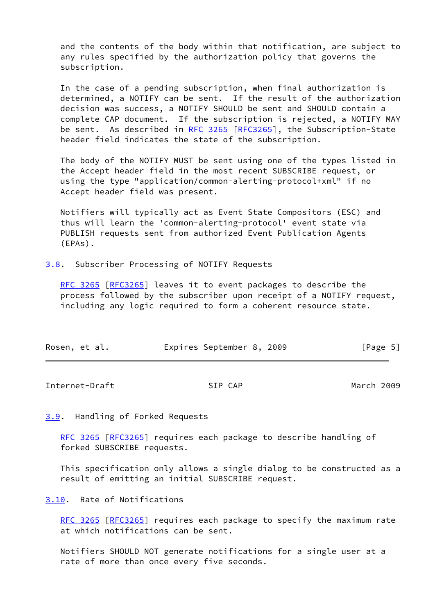and the contents of the body within that notification, are subject to any rules specified by the authorization policy that governs the subscription.

 In the case of a pending subscription, when final authorization is determined, a NOTIFY can be sent. If the result of the authorization decision was success, a NOTIFY SHOULD be sent and SHOULD contain a complete CAP document. If the subscription is rejected, a NOTIFY MAY be sent. As described in [RFC 3265](https://datatracker.ietf.org/doc/pdf/rfc3265) [[RFC3265\]](https://datatracker.ietf.org/doc/pdf/rfc3265), the Subscription-State header field indicates the state of the subscription.

 The body of the NOTIFY MUST be sent using one of the types listed in the Accept header field in the most recent SUBSCRIBE request, or using the type "application/common-alerting-protocol+xml" if no Accept header field was present.

 Notifiers will typically act as Event State Compositors (ESC) and thus will learn the 'common-alerting-protocol' event state via PUBLISH requests sent from authorized Event Publication Agents (EPAs).

<span id="page-5-0"></span>[3.8](#page-5-0). Subscriber Processing of NOTIFY Requests

[RFC 3265](https://datatracker.ietf.org/doc/pdf/rfc3265) [\[RFC3265](https://datatracker.ietf.org/doc/pdf/rfc3265)] leaves it to event packages to describe the process followed by the subscriber upon receipt of a NOTIFY request, including any logic required to form a coherent resource state.

| Rosen, et al. |  |  |  | Expires September 8, 2009 |  |  | [Page 5] |  |
|---------------|--|--|--|---------------------------|--|--|----------|--|
|---------------|--|--|--|---------------------------|--|--|----------|--|

<span id="page-5-2"></span>Internet-Draft SIP CAP March 2009

<span id="page-5-1"></span>[3.9](#page-5-1). Handling of Forked Requests

[RFC 3265](https://datatracker.ietf.org/doc/pdf/rfc3265) [\[RFC3265](https://datatracker.ietf.org/doc/pdf/rfc3265)] requires each package to describe handling of forked SUBSCRIBE requests.

 This specification only allows a single dialog to be constructed as a result of emitting an initial SUBSCRIBE request.

<span id="page-5-3"></span>[3.10](#page-5-3). Rate of Notifications

[RFC 3265](https://datatracker.ietf.org/doc/pdf/rfc3265) [\[RFC3265](https://datatracker.ietf.org/doc/pdf/rfc3265)] requires each package to specify the maximum rate at which notifications can be sent.

 Notifiers SHOULD NOT generate notifications for a single user at a rate of more than once every five seconds.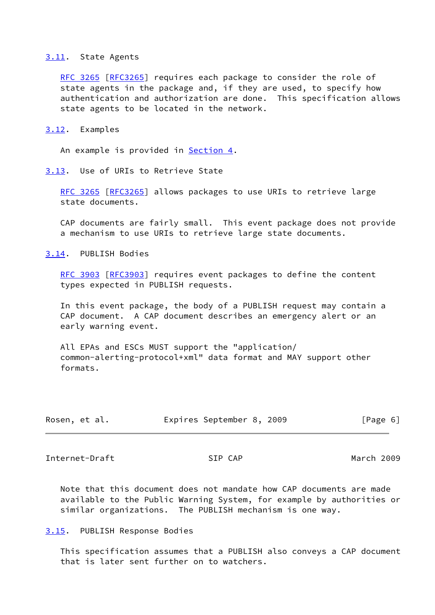#### <span id="page-6-0"></span>[3.11](#page-6-0). State Agents

[RFC 3265](https://datatracker.ietf.org/doc/pdf/rfc3265) [\[RFC3265](https://datatracker.ietf.org/doc/pdf/rfc3265)] requires each package to consider the role of state agents in the package and, if they are used, to specify how authentication and authorization are done. This specification allows state agents to be located in the network.

<span id="page-6-1"></span>[3.12](#page-6-1). Examples

An example is provided in **Section 4.** 

<span id="page-6-2"></span>[3.13](#page-6-2). Use of URIs to Retrieve State

 [RFC 3265](https://datatracker.ietf.org/doc/pdf/rfc3265) [\[RFC3265](https://datatracker.ietf.org/doc/pdf/rfc3265)] allows packages to use URIs to retrieve large state documents.

 CAP documents are fairly small. This event package does not provide a mechanism to use URIs to retrieve large state documents.

<span id="page-6-3"></span>[3.14](#page-6-3). PUBLISH Bodies

[RFC 3903](https://datatracker.ietf.org/doc/pdf/rfc3903) [\[RFC3903](https://datatracker.ietf.org/doc/pdf/rfc3903)] requires event packages to define the content types expected in PUBLISH requests.

 In this event package, the body of a PUBLISH request may contain a CAP document. A CAP document describes an emergency alert or an early warning event.

 All EPAs and ESCs MUST support the "application/ common-alerting-protocol+xml" data format and MAY support other formats.

| Rosen, et al. |  |  | Expires September 8, 2009 |  |  | [Page 6] |  |
|---------------|--|--|---------------------------|--|--|----------|--|
|---------------|--|--|---------------------------|--|--|----------|--|

<span id="page-6-5"></span>Internet-Draft SIP CAP March 2009

 Note that this document does not mandate how CAP documents are made available to the Public Warning System, for example by authorities or similar organizations. The PUBLISH mechanism is one way.

<span id="page-6-4"></span>[3.15](#page-6-4). PUBLISH Response Bodies

 This specification assumes that a PUBLISH also conveys a CAP document that is later sent further on to watchers.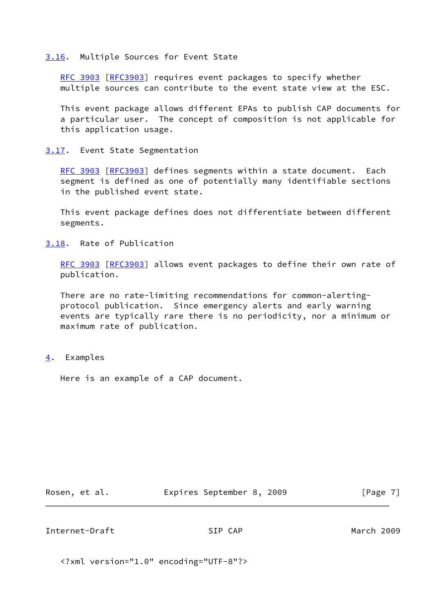#### <span id="page-7-0"></span>[3.16](#page-7-0). Multiple Sources for Event State

[RFC 3903](https://datatracker.ietf.org/doc/pdf/rfc3903) [\[RFC3903](https://datatracker.ietf.org/doc/pdf/rfc3903)] requires event packages to specify whether multiple sources can contribute to the event state view at the ESC.

 This event package allows different EPAs to publish CAP documents for a particular user. The concept of composition is not applicable for this application usage.

#### <span id="page-7-1"></span>[3.17](#page-7-1). Event State Segmentation

[RFC 3903](https://datatracker.ietf.org/doc/pdf/rfc3903) [\[RFC3903](https://datatracker.ietf.org/doc/pdf/rfc3903)] defines segments within a state document. Each segment is defined as one of potentially many identifiable sections in the published event state.

 This event package defines does not differentiate between different segments.

## <span id="page-7-2"></span>[3.18](#page-7-2). Rate of Publication

[RFC 3903](https://datatracker.ietf.org/doc/pdf/rfc3903) [\[RFC3903](https://datatracker.ietf.org/doc/pdf/rfc3903)] allows event packages to define their own rate of publication.

 There are no rate-limiting recommendations for common-alerting protocol publication. Since emergency alerts and early warning events are typically rare there is no periodicity, nor a minimum or maximum rate of publication.

#### <span id="page-7-3"></span>[4](#page-7-3). Examples

Here is an example of a CAP document.

Rosen, et al. **Expires September 8, 2009** [Page 7]

<span id="page-7-4"></span>Internet-Draft SIP CAP March 2009

<?xml version="1.0" encoding="UTF-8"?>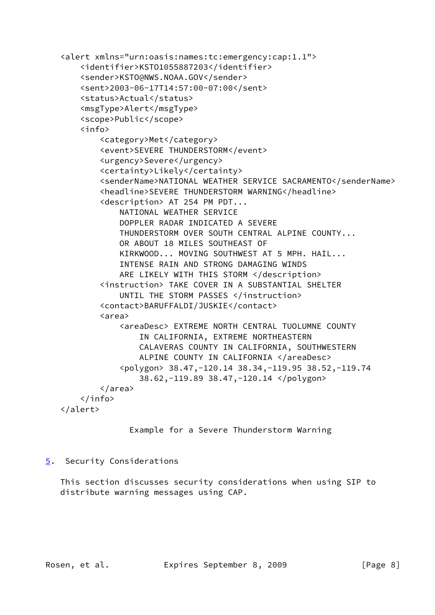```
 <alert xmlns="urn:oasis:names:tc:emergency:cap:1.1">
    <identifier>KSTO1055887203</identifier>
    <sender>KSTO@NWS.NOAA.GOV</sender>
    <sent>2003-06-17T14:57:00-07:00</sent>
   <status>Actual</status>
    <msgType>Alert</msgType>
    <scope>Public</scope>
    <info>
        <category>Met</category>
        <event>SEVERE THUNDERSTORM</event>
        <urgency>Severe</urgency>
        <certainty>Likely</certainty>
       <senderName>NATIONAL WEATHER SERVICE SACRAMENTO</senderName>
        <headline>SEVERE THUNDERSTORM WARNING</headline>
        <description> AT 254 PM PDT...
            NATIONAL WEATHER SERVICE
            DOPPLER RADAR INDICATED A SEVERE
            THUNDERSTORM OVER SOUTH CENTRAL ALPINE COUNTY...
            OR ABOUT 18 MILES SOUTHEAST OF
            KIRKWOOD... MOVING SOUTHWEST AT 5 MPH. HAIL...
            INTENSE RAIN AND STRONG DAMAGING WINDS
            ARE LIKELY WITH THIS STORM </description>
        <instruction> TAKE COVER IN A SUBSTANTIAL SHELTER
           UNTIL THE STORM PASSES </instruction>
        <contact>BARUFFALDI/JUSKIE</contact>
        <area>
            <areaDesc> EXTREME NORTH CENTRAL TUOLUMNE COUNTY
                IN CALIFORNIA, EXTREME NORTHEASTERN
                CALAVERAS COUNTY IN CALIFORNIA, SOUTHWESTERN
               ALPINE COUNTY IN CALIFORNIA </areaDesc>
            <polygon> 38.47,-120.14 38.34,-119.95 38.52,-119.74
                38.62,-119.89 38.47,-120.14 </polygon>
        </area>
    </info>
</alert>
```

```
 Example for a Severe Thunderstorm Warning
```
# <span id="page-8-0"></span>[5](#page-8-0). Security Considerations

 This section discusses security considerations when using SIP to distribute warning messages using CAP.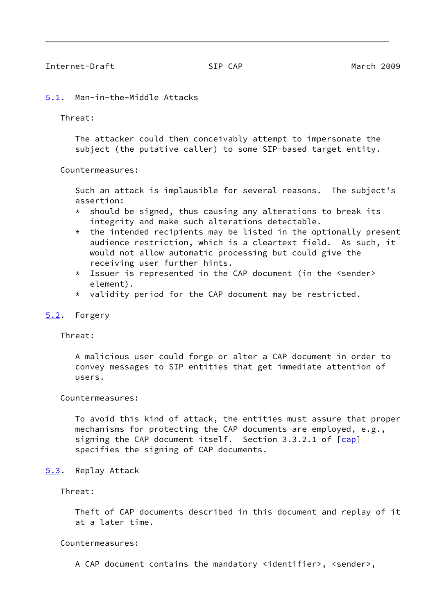### <span id="page-9-1"></span><span id="page-9-0"></span>[5.1](#page-9-0). Man-in-the-Middle Attacks

Threat:

 The attacker could then conceivably attempt to impersonate the subject (the putative caller) to some SIP-based target entity.

Countermeasures:

 Such an attack is implausible for several reasons. The subject's assertion:

- $*$  should be signed, thus causing any alterations to break its integrity and make such alterations detectable.
- $*$  the intended recipients may be listed in the optionally present audience restriction, which is a cleartext field. As such, it would not allow automatic processing but could give the receiving user further hints.
- \* Issuer is represented in the CAP document (in the <sender> element).
- \* validity period for the CAP document may be restricted.

## <span id="page-9-2"></span>[5.2](#page-9-2). Forgery

Threat:

 A malicious user could forge or alter a CAP document in order to convey messages to SIP entities that get immediate attention of users.

Countermeasures:

 To avoid this kind of attack, the entities must assure that proper mechanisms for protecting the CAP documents are employed, e.g., signing the CAP document itself. Section 3.3.2.1 of [\[cap](#page-12-3)] specifies the signing of CAP documents.

<span id="page-9-3"></span>[5.3](#page-9-3). Replay Attack

Threat:

 Theft of CAP documents described in this document and replay of it at a later time.

Countermeasures:

A CAP document contains the mandatory <identifier>, <sender>,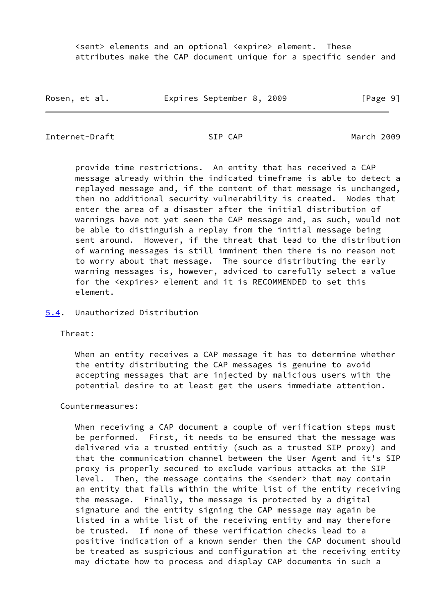<sent> elements and an optional <expire> element. These attributes make the CAP document unique for a specific sender and

Rosen, et al. **Expires September 8, 2009** [Page 9]

<span id="page-10-1"></span>Internet-Draft SIP CAP March 2009

 provide time restrictions. An entity that has received a CAP message already within the indicated timeframe is able to detect a replayed message and, if the content of that message is unchanged, then no additional security vulnerability is created. Nodes that enter the area of a disaster after the initial distribution of warnings have not yet seen the CAP message and, as such, would not be able to distinguish a replay from the initial message being sent around. However, if the threat that lead to the distribution of warning messages is still imminent then there is no reason not to worry about that message. The source distributing the early warning messages is, however, adviced to carefully select a value for the <expires> element and it is RECOMMENDED to set this element.

<span id="page-10-0"></span>[5.4](#page-10-0). Unauthorized Distribution

Threat:

 When an entity receives a CAP message it has to determine whether the entity distributing the CAP messages is genuine to avoid accepting messages that are injected by malicious users with the potential desire to at least get the users immediate attention.

Countermeasures:

 When receiving a CAP document a couple of verification steps must be performed. First, it needs to be ensured that the message was delivered via a trusted entitiy (such as a trusted SIP proxy) and that the communication channel between the User Agent and it's SIP proxy is properly secured to exclude various attacks at the SIP level. Then, the message contains the <sender> that may contain an entity that falls within the white list of the entity receiving the message. Finally, the message is protected by a digital signature and the entity signing the CAP message may again be listed in a white list of the receiving entity and may therefore be trusted. If none of these verification checks lead to a positive indication of a known sender then the CAP document should be treated as suspicious and configuration at the receiving entity may dictate how to process and display CAP documents in such a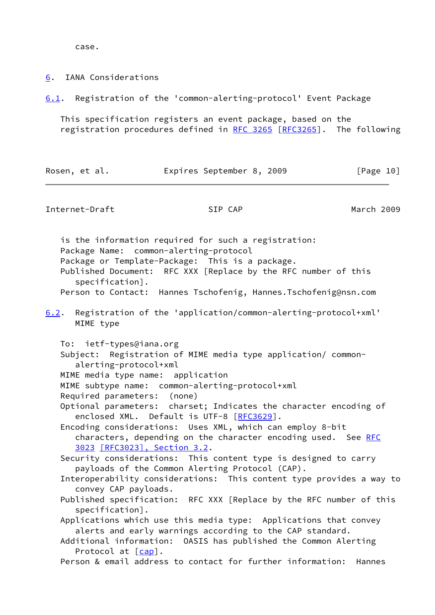case.

<span id="page-11-0"></span>[6](#page-11-0). IANA Considerations

<span id="page-11-2"></span>[6.1](#page-11-2). Registration of the 'common-alerting-protocol' Event Package

 This specification registers an event package, based on the registration procedures defined in [RFC 3265 \[RFC3265](https://datatracker.ietf.org/doc/pdf/rfc3265)]. The following

| Rosen, et al. |  |  |  | Expires September 8, 2009 |  |  | [Page 10] |  |
|---------------|--|--|--|---------------------------|--|--|-----------|--|
|---------------|--|--|--|---------------------------|--|--|-----------|--|

<span id="page-11-1"></span>Internet-Draft SIP CAP March 2009

 is the information required for such a registration: Package Name: common-alerting-protocol Package or Template-Package: This is a package. Published Document: RFC XXX [Replace by the RFC number of this specification]. Person to Contact: Hannes Tschofenig, Hannes.Tschofenig@nsn.com

<span id="page-11-3"></span>[6.2](#page-11-3). Registration of the 'application/common-alerting-protocol+xml' MIME type

To: ietf-types@iana.org

 Subject: Registration of MIME media type application/ common alerting-protocol+xml

MIME media type name: application

MIME subtype name: common-alerting-protocol+xml

Required parameters: (none)

 Optional parameters: charset; Indicates the character encoding of enclosed XML. Default is UTF-8 [[RFC3629\]](https://datatracker.ietf.org/doc/pdf/rfc3629).

 Encoding considerations: Uses XML, which can employ 8-bit characters, depending on the character encoding used. See [RFC](https://datatracker.ietf.org/doc/pdf/rfc3023) [3023](https://datatracker.ietf.org/doc/pdf/rfc3023) [\[RFC3023\], Section](https://datatracker.ietf.org/doc/pdf/rfc3023#section-3.2) 3.2.

 Security considerations: This content type is designed to carry payloads of the Common Alerting Protocol (CAP).

 Interoperability considerations: This content type provides a way to convey CAP payloads.

 Published specification: RFC XXX [Replace by the RFC number of this specification].

 Applications which use this media type: Applications that convey alerts and early warnings according to the CAP standard.

 Additional information: OASIS has published the Common Alerting Protocol at [\[cap](#page-12-3)].

Person & email address to contact for further information: Hannes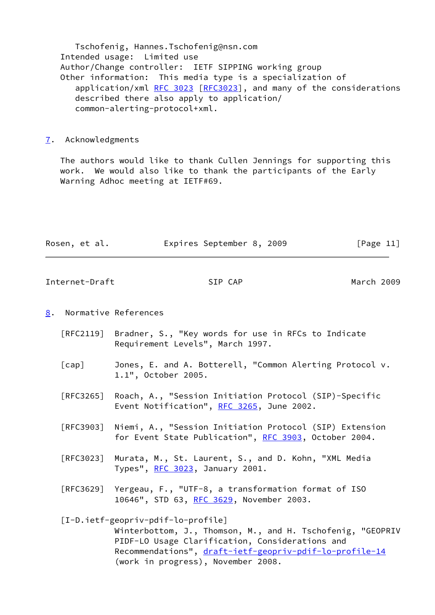Tschofenig, Hannes.Tschofenig@nsn.com Intended usage: Limited use Author/Change controller: IETF SIPPING working group Other information: This media type is a specialization of application/xml [RFC 3023 \[RFC3023](https://datatracker.ietf.org/doc/pdf/rfc3023)], and many of the considerations described there also apply to application/ common-alerting-protocol+xml.

<span id="page-12-0"></span>[7](#page-12-0). Acknowledgments

 The authors would like to thank Cullen Jennings for supporting this work. We would also like to thank the participants of the Early Warning Adhoc meeting at IETF#69.

| Rosen, et al. | Expires September 8, 2009 |  | [Page 11] |
|---------------|---------------------------|--|-----------|
|               |                           |  |           |

<span id="page-12-2"></span>Internet-Draft SIP CAP March 2009

### <span id="page-12-1"></span>[8](#page-12-1). Normative References

- [RFC2119] Bradner, S., "Key words for use in RFCs to Indicate Requirement Levels", March 1997.
- <span id="page-12-3"></span> [cap] Jones, E. and A. Botterell, "Common Alerting Protocol v. 1.1", October 2005.
- [RFC3265] Roach, A., "Session Initiation Protocol (SIP)-Specific Event Notification", [RFC 3265](https://datatracker.ietf.org/doc/pdf/rfc3265), June 2002.
- [RFC3903] Niemi, A., "Session Initiation Protocol (SIP) Extension for Event State Publication", [RFC 3903](https://datatracker.ietf.org/doc/pdf/rfc3903), October 2004.
- [RFC3023] Murata, M., St. Laurent, S., and D. Kohn, "XML Media Types", [RFC 3023,](https://datatracker.ietf.org/doc/pdf/rfc3023) January 2001.
- [RFC3629] Yergeau, F., "UTF-8, a transformation format of ISO 10646", STD 63, [RFC 3629,](https://datatracker.ietf.org/doc/pdf/rfc3629) November 2003.

# <span id="page-12-4"></span> [I-D.ietf-geopriv-pdif-lo-profile] Winterbottom, J., Thomson, M., and H. Tschofenig, "GEOPRIV PIDF-LO Usage Clarification, Considerations and Recommendations", [draft-ietf-geopriv-pdif-lo-profile-14](https://datatracker.ietf.org/doc/pdf/draft-ietf-geopriv-pdif-lo-profile-14) (work in progress), November 2008.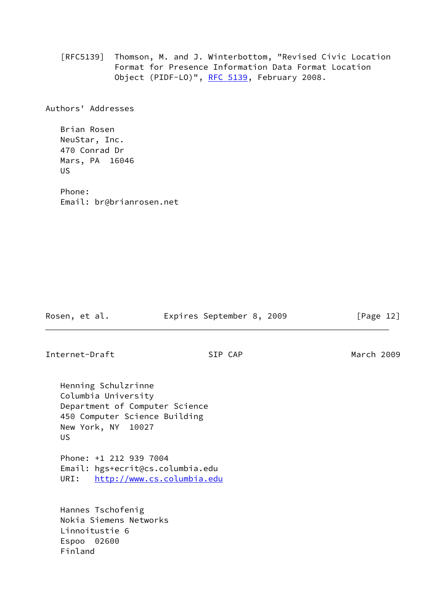[RFC5139] Thomson, M. and J. Winterbottom, "Revised Civic Location Format for Presence Information Data Format Location Object (PIDF-LO)", [RFC 5139](https://datatracker.ietf.org/doc/pdf/rfc5139), February 2008.

Authors' Addresses

 Brian Rosen NeuStar, Inc. 470 Conrad Dr Mars, PA 16046 US

 Phone: Email: br@brianrosen.net

Rosen, et al. **Expires September 8, 2009** [Page 12]

Internet-Draft SIP CAP March 2009

 Henning Schulzrinne Columbia University Department of Computer Science 450 Computer Science Building New York, NY 10027 US

 Phone: +1 212 939 7004 Email: hgs+ecrit@cs.columbia.edu URI: <http://www.cs.columbia.edu>

 Hannes Tschofenig Nokia Siemens Networks Linnoitustie 6 Espoo 02600 Finland